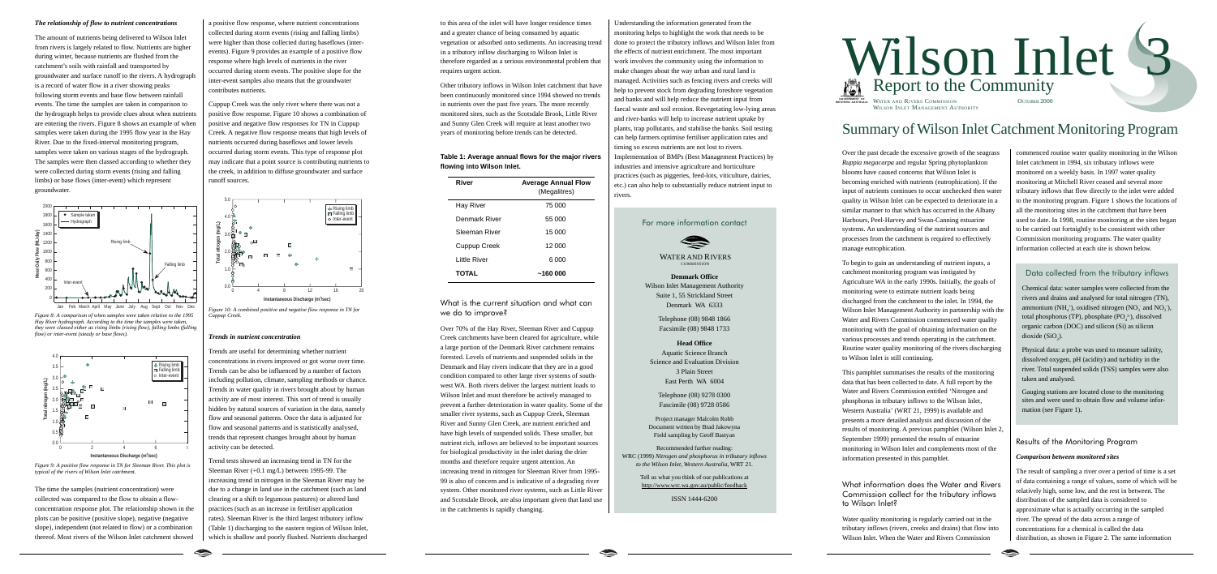### *The relationship of flow to nutrient concentrations*

The amount of nutrients being delivered to Wilson Inlet from rivers is largely related to flow. Nutrients are higher during winter, because nutrients are flushed from the catchment's soils with rainfall and transported by groundwater and surface runoff to the rivers. A hydrograph is a record of water flow in a river showing peaks following storm events and base flow between rainfall events. The time the samples are taken in comparison to the hydrograph helps to provide clues about when nutrients are entering the rivers. Figure 8 shows an example of when samples were taken during the 1995 flow year in the Hay River. Due to the fixed-interval monitoring program, samples were taken on various stages of the hydrograph. The samples were then classed according to whether they were collected during storm events (rising and falling limbs) or base flows (inter-event) which represent groundwater.



*Figure 8: A comparison of when samples were taken relative to the 1995 Hay River hydrograph. According to the time the samples were taken, they were classed either as rising limbs (rising flow), falling limbs (falling flow) or inter-event (steady or base flows).*



*Figure 9: A positive flow response in TN for Sleeman River. This plot is typical of the rivers of Wilson Inlet catchment.*

The time the samples (nutrient concentration) were collected was compared to the flow to obtain a flowconcentration response plot. The relationship shown in the plots can be positive (positive slope), negative (negative slope), independent (not related to flow) or a combination thereof. Most rivers of the Wilson Inlet catchment showed

a positive flow response, where nutrient concentrations collected during storm events (rising and falling limbs) were higher than those collected during baseflows (interevents). Figure 9 provides an example of a positive flow response where high levels of nutrients in the river occurred during storm events. The positive slope for the inter-event samples also means that the groundwater contributes nutrients.

Cuppup Creek was the only river where there was not a positive flow response. Figure 10 shows a combination of positive and negative flow responses for TN in Cuppup Creek. A negative flow response means that high levels of nutrients occurred during baseflows and lower levels occurred during storm events. This type of response plot may indicate that a point source is contributing nutrients to the creek, in addition to diffuse groundwater and surface runoff sources.



*Figure 10: A combined positive and negative flow response in TN for Cuppup Creek.*

#### *Trends in nutrient concentration*

Trends are useful for determining whether nutrient concentrations in rivers improved or got worse over time. Trends can be also be influenced by a number of factors including pollution, climate, sampling methods or chance. Trends in water quality in rivers brought about by human activity are of most interest. This sort of trend is usually hidden by natural sources of variation in the data, namely flow and seasonal patterns. Once the data is adjusted for flow and seasonal patterns and is statistically analysed, trends that represent changes brought about by human activity can be detected.

# WATER AND RIVERS COMMISSION

Trend tests showed an increasing trend in TN for the Sleeman River (+0.1 mg/L) between 1995-99. The increasing trend in nitrogen in the Sleeman River may be due to a change in land use in the catchment (such as land clearing or a shift to legumous pastures) or altered land practices (such as an increase in fertiliser application rates). Sleeman River is the third largest tributory inflow (Table 1) discharging to the eastern region of Wilson Inlet, which is shallow and poorly flushed. Nutrients discharged to this area of the inlet will have longer residence times and a greater chance of being consumed by aquatic vegetation or adsorbed onto sediments. An increasing trend in a tributory inflow discharging to Wilson Inlet is therefore regarded as a serious environmental problem that requires urgent action.

Other tributory inflows in Wilson Inlet catchment that have been continuously monitored since 1994 showed no trends in nutrients over the past five years. The more recently monitored sites, such as the Scotsdale Brook, Little River and Sunny Glen Creek will require at least another two years of monitoring before trends can be detected.

**Table 1: Average annual flows for the major rivers flowing into Wilson Inlet.**

| River         | <b>Average Annual Flow</b><br>(Megalitres) |
|---------------|--------------------------------------------|
| Hay River     | 75 000                                     |
| Denmark River | 55 000                                     |
| Sleeman River | 15 000                                     |
| Cuppup Creek  | 12 000                                     |
| Little River  | 6000                                       |
| <b>TOTAL</b>  | ~160 000                                   |

What is the current situation and what can we do to improve?

Chemical data: water samples were collected from the rivers and drains and analysed for total nitrogen (TN), ammonium (NH<sub>4</sub><sup>+</sup>), oxidised nitrogen (NO<sub>3</sub> and NO<sub>2</sub>), total phosphorus (TP), phosphate  $(PO<sub>i</sub><sup>3</sup>)$ , dissolved organic carbon (DOC) and silicon (Si) as silicon dioxide  $(SiO<sub>2</sub>)$ .

Over 70% of the Hay River, Sleeman River and Cuppup Creek catchments have been cleared for agriculture, while a large portion of the Denmark River catchment remains forested. Levels of nutrients and suspended solids in the Denmark and Hay rivers indicate that they are in a good condition compared to other large river systems of southwest WA. Both rivers deliver the largest nutrient loads to Wilson Inlet and must therefore be actively managed to prevent a further deterioration in water quality. Some of the smaller river systems, such as Cuppup Creek, Sleeman River and Sunny Glen Creek, are nutrient enriched and have high levels of suspended solids. These smaller, but nutrient rich, inflows are believed to be important sources for biological productivity in the inlet during the drier months and therefore require urgent attention. An increasing trend in nitrogen for Sleeman River from 1995- 99 is also of concern and is indicative of a degrading river system. Other monitored river systems, such as Little River and Scotsdale Brook, are also important given that land use in the catchments is rapidly changing.

Understanding the information generated from the monitoring helps to highlight the work that needs to be done to protect the tributory inflows and Wilson Inlet from the effects of nutrient enrichment. The most important work involves the community using the information to make changes about the way urban and rural land is managed. Activities such as fencing rivers and creeks will help to prevent stock from degrading foreshore vegetation and banks and will help reduce the nutrient input from faecal waste and soil erosion. Revegetating low-lying areas and river-banks will help to increase nutrient uptake by plants, trap pollutants, and stabilise the banks. Soil testing can help farmers optimise fertiliser application rates and timing so excess nutrients are not lost to rivers. Implementation of BMPs (Best Management Practices) by industries and intensive agriculture and horticulture practices (such as piggeries, feed-lots, viticulture, dairies, etc.) can also help to substantially reduce nutrient input to rivers.

For more information contact



**Denmark Office** Wilson Inlet Management Authority Suite 1, 55 Strickland Street Denmark WA 6333

> Telephone (08) 9848 1866 Facsimile (08) 9848 1733

## **Head Office**

Aquatic Science Branch Science and Evaluation Division 3 Plain Street East Perth WA 6004

Telephone (08) 9278 0300 Fascimile (08) 9728 0586

Project manager Malcolm Robb Document written by Brad Jakowyna Field sampling by Geoff Bastyan

Recommended further reading: WRC (1999) *Nitrogen and phosphorus in tributary inflows to the Wilson Inlet, Western Australia*, WRT 21.

> Tell us what you think of our publications at http://www.wrc.wa.gov.au/public/feedback

> > ISSN 1444-6200



commenced routine water quality monitoring in the Wilson Inlet catchment in 1994, six tributary inflows were monitored on a weekly basis. In 1997 water quality monitoring at Mitchell River ceased and several more tributary inflows that flow directly to the inlet were added to the monitoring program. Figure 1 shows the locations of all the monitoring sites in the catchment that have been used to date. In 1998, routine monitoring at the sites began to be carried out fortnightly to be consistent with other Commission monitoring programs. The water quality information collected at each site is shown below.

Over the past decade the excessive growth of the seagrass *Ruppia megacarpa* and regular Spring phytoplankton blooms have caused concerns that Wilson Inlet is becoming enriched with nutrients (eutrophication). If the input of nutrients continues to occur unchecked then water quality in Wilson Inlet can be expected to deteriorate in a similar manner to that which has occurred in the Albany Harbours, Peel-Harvey and Swan-Canning estuarine systems. An understanding of the nutrient sources and processes from the catchment is required to effectively manage eutrophication.

To begin to gain an understanding of nutrient inputs, a catchment monitoring program was instigated by Agriculture WA in the early 1990s. Initially, the goals of monitoring were to estimate nutrient loads being discharged from the catchment to the inlet. In 1994, the Wilson Inlet Management Authority in partnership with the Water and Rivers Commission commenced water quality monitoring with the goal of obtaining information on the various processes and trends operating in the catchment. Routine water quality monitoring of the rivers discharging to Wilson Inlet is still continuing.

This pamphlet summarises the results of the monitoring data that has been collected to date. A full report by the Water and Rivers Commission entitled 'Nitrogen and phosphorus in tributary inflows to the Wilson Inlet, Western Australia' (WRT 21, 1999) is available and presents a more detailed analysis and discussion of the results of monitoring. A previous pamphlet (Wilson Inlet 2, September 1999) presented the results of estuarine monitoring in Wilson Inlet and complements most of the information presented in this pamphlet.

What information does the Water and Rivers Commission collect for the tributary inflows to Wilson Inlet?

Water quality monitoring is regularly carried out in the tributary inflows (rivers, creeks and drains) that flow into Wilson Inlet. When the Water and Rivers Commission

# Summary of Wilson Inlet Catchment Monitoring Program

# Results of the Monitoring Program

# *Comparison between monitored sites*

The result of sampling a river over a period of time is a set of data containing a range of values, some of which will be relatively high, some low, and the rest in between. The distribution of the sampled data is considered to approximate what is actually occurring in the sampled river. The spread of the data across a range of concentrations for a chemical is called the data distribution, as shown in Figure 2. The same information

# Data collected from the tributary inflows

Physical data: a probe was used to measure salinity, dissolved oxygen, pH (acidity) and turbidity in the river. Total suspended solids (TSS) samples were also taken and analysed.

Gauging stations are located close to the monitoring sites and were used to obtain flow and volume information (see Figure 1).